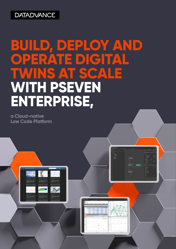## **DATADVANCE**

## **BUILD, DEPLOY AND OPERATE DIGITAL TWINS AT SCALE WITH PSEVEN ENTERPRISE,**

**a Cloud-native Low Code Platform**

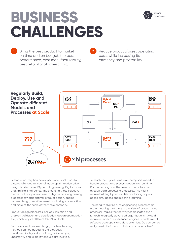# **BUSINESS CHALLENGES**



Bring the best product to market **1 2** on time and on budget: the best performance, best manufacturability, best reliability at lowest cost.

Reduce product/asset operating costs while increasing its efficiency and profitability.



Software industry has developed various solutions to these challenges: functional mock-up, simulation driven design, Model-Based Systems Engineering, Digital Twins, and Artificial intelligence. Implementing these solutions means that companies need to digitize core engineering processes towards optimal product design, optimal process design, real-time asset monitoring, optimization and more at the scale of the whole company.

Product design processes include simulation and analysis, validation and certification, design optimization etc., which require different CAD/CAE tools.

For the optimal process design, machine learning methods can be added to the previously mentioned tools, as data mining, data analysis, uncertainty and reliability analysis are involved.

To reach the Digital Twins level, companies need to handle product and process design in a real time. Data is coming from the asset to the databases through data processing processes. This might require building Hybrid models combining physicsbased simulations and machine learning.

The need to digitize such engineering processes at scale, meaning that there is a variety of products and processes, makes the task very complicated even for technologically advanced organizations. It would require number of experienced engineers, professional software developers and data scientists. Do companies really need all of them and what is an alternative?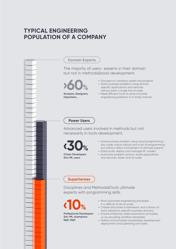## **TYPICAL ENGINEERING POPULATION OF A COMPANY**

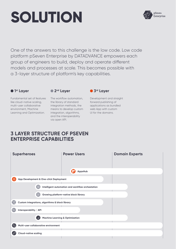# **SOLUTION**



One of the answers to this challenge is the low code. Low code platform pSeven Enterprise by DATADVANCE empowers each group of engineers to build, deploy and operate different models and processes at scale. This becomes possible with a 3-layer structure of platform's key capabilities.

## **1st Layer**

Fundamental set of features like cloud-native scaling, multi-user collaborative environment, Machine Learning and Optimization.  **2nd Layer**

The workflow automation, the library of standard integration methods, the means to develop custom integration, algorithms, and the interoperability via open API.

**• 3rd Layer** 

Development and straight forward publishing of applications as bundled web App with custom UI for the domains.

## **3 LAYER STRUCTURE OF PSEVEN ENTERPRISE CAPABILITIES**

| <b>Superheroes</b>                              | <b>Power Users</b>                               | <b>Domain Experts</b> |
|-------------------------------------------------|--------------------------------------------------|-----------------------|
|                                                 | $\mathbf \boxplus$<br>AppsHub                    |                       |
| App Development & One-click Deployment          |                                                  |                       |
| 48                                              | Intelligent automation and workflow orchestation |                       |
| $\frac{1}{2}$                                   | <b>Growing platform-native block library</b>     |                       |
| Custom integrations, algorithms & block library |                                                  |                       |
| কি<br>Interoperability / API                    |                                                  |                       |
| $\cdot$ ).                                      | <b>Machine Learning &amp; Optimization</b>       |                       |
| g,<br>Multi-user collaborative environment      |                                                  |                       |
| <b>Cloud-native scaling</b>                     |                                                  |                       |
|                                                 |                                                  |                       |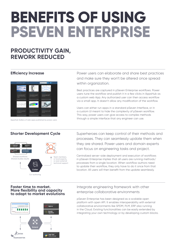# **BENEFITS OF USING PSEVEN ENTERPRISE**

## **PRODUCTIVITY GAIN, REWORK REDUCED**



AppsHub Gallery of web apps published by power users

**Efficiency Increase Power users can elaborate and share best practices** and make sure they won't be altered once spread within organization.

> Best practices are captured in pSeven Enterprise workflows. Power users tune the workflow and publish it in a few clicks in AppsHub as a custom web App. Any authorized user can then access workflow via a small app. It doesn't allow any modification of the workflow.

Users can either run apps in a standard pSeven Interface, or in a custom UI meant to hide the complexity of pSeven workflow. This way, power users can give access to complex methods through a simple interface that any engineer can use.

## **Shorter Development Cycle** Superheroes can keep control of their methods and processes. They can seamlessly update them when they are shared. Power users and domain experts can focus on engineering tasks and project.

Centralized server-side deployment and execution of workflows in pSeven Enterprise implies that all users are running methods/ processes from a single location. When workflow authors need to update their workflow, they only have to do it once from that location. All users will then benefit from the update seamlessly.



**Faster time to market. More flexibility and capacity to adapt to market evolutions**



## Integrate engineering framework with other enterprise collaborative environments

pSeven Enterprise has been designed as a scalable open platform with open API. It enables interoperability with external collaborative environments like SPDM, PLM, ERP also running in the Cloud. Existing functionalities can be easily extended by integrating your own technology or by developing custom blocks.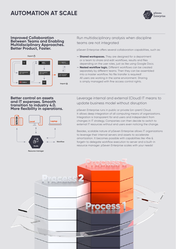## **AUTOMATION AT SCALE**



#### **Improved Collaboration Between Teams and Enabling Multidisciplinary Approaches. Better Product, Faster.**



## Run multidisciplinary analysis when discipline teams are not integrated

pSeven Enterprise offers several collaboration capabilities, such as:

- **Shared workspaces.** They are designed for a department or a team to share and edit workflows, results and files depending on the user roles, just as like using Google Docs.
- **Nested workflow logic.** Different workflows can be created separately by different teams. Then they can be assembled into a master workflow. No file transfer is required! All users are working in the same environment. Sharing is simply managed with fine access control rights.

#### **Better control on assets and IT expenses. Smooth transition to industry 4.0. More flexibility in operations.**



Leverage internal and external (Cloud) IT means to update business model without disruption

pSeven Enterprise runs in public or private (on-prem) Cloud. It allows deep integration of all computing means of organizations. Integration is transparent for end users and independent from changes in IT strategy. Companies can then decide to switch to external IT resources without end users even noticing the change.

Besides, scalable nature of pSeven Enterprise allows IT organizations to leverage their internal servers and assets to accelerate amortization. It becomes possible with capabilities like «fire & forget» to delegate workflow execution to server and a built-in resource manager. pSeven Enterprise scales with your needs!

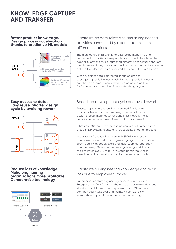## **KNOWLEDGE CAPTURE AND TRANSFER**

### **Better product knowledge. Design process acceleration thanks to predictive ML models**



## Capitalize on data related to similar engineering activities conducted by different teams from different locations

The architecture of pSeven Enterprise being monolithic and centralized, no matter where people are located. Users have the capability of workflow co-authoring directly in the Cloud, right from their browsers. If they use same workflows, a common archive can be defined to collect key data from workflows executed by all teams.

When sufficient data is gathered, it can be used for subsequent predictive model building. Such predictive model can then be shared. It can substitute a complete workflow for fast evaluations, resulting in a shorter design cycle.

#### **Easy access to data. Easy reuse. Shorter design cycle by avoiding rework**



## Speed-up development cycle and avoid rework

Process capture in pSeven Enterprise workflow is a way to automate and standardize design methods. It makes design process more robust resulting in less rework. It also helps to better organize engineering data and reuse it.

Ultimately, pSeven Enterprise can be coupled with other native Cloud SPDM system to ensure full traceability of design process.

Integration of pSeven Enterprise with SPDM is one of the most value-added setups in Engineering organizations. While SPDM deals with design cycle and multi-team collaboration at upper level, pSeven automates engineering workflows and tools at lower level. Such bi-level setup brings robustness, speed and full traceability to product development cycle.

#### **Reduce loss of knowledge. Make engineering organizations more profitable. Democratize technology**



## Capitalize on engineering knowledge and avoid loss due to employee turnover

Superheroes capture engineering processes in a pSeven Enterprise workflow. They turn them into an easy-to-understand standard modularized visual representations. Other users can then easily take over and maintain such workflow even without a priori knowledge of the method/logic.